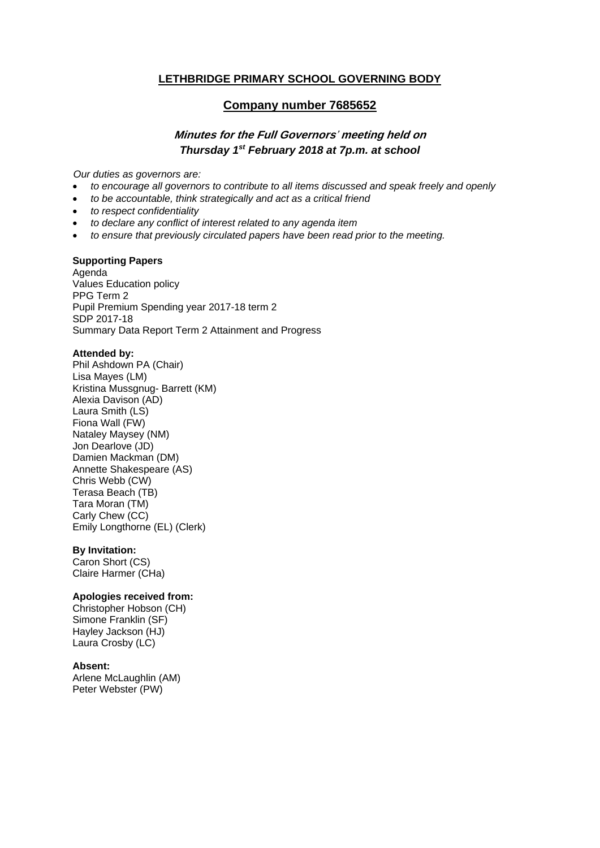## **LETHBRIDGE PRIMARY SCHOOL GOVERNING BODY**

## **Company number 7685652**

# **Minutes for the Full Governors**' **meeting held on**  *Thursday 1st February 2018 at 7p.m. at school*

*Our duties as governors are:* 

- *to encourage all governors to contribute to all items discussed and speak freely and openly*
- *to be accountable, think strategically and act as a critical friend*
- *to respect confidentiality*
- *to declare any conflict of interest related to any agenda item*
- *to ensure that previously circulated papers have been read prior to the meeting.*

### **Supporting Papers**

Agenda Values Education policy PPG Term 2 Pupil Premium Spending year 2017-18 term 2 SDP 2017-18 Summary Data Report Term 2 Attainment and Progress

#### **Attended by:**

Phil Ashdown PA (Chair) Lisa Mayes (LM) Kristina Mussgnug- Barrett (KM) Alexia Davison (AD) Laura Smith (LS) Fiona Wall (FW) Nataley Maysey (NM) Jon Dearlove (JD) Damien Mackman (DM) Annette Shakespeare (AS) Chris Webb (CW) Terasa Beach (TB) Tara Moran (TM) Carly Chew (CC) Emily Longthorne (EL) (Clerk)

#### **By Invitation:**

Caron Short (CS) Claire Harmer (CHa)

#### **Apologies received from:**

Christopher Hobson (CH) Simone Franklin (SF) Hayley Jackson (HJ) Laura Crosby (LC)

#### **Absent:**

Arlene McLaughlin (AM) Peter Webster (PW)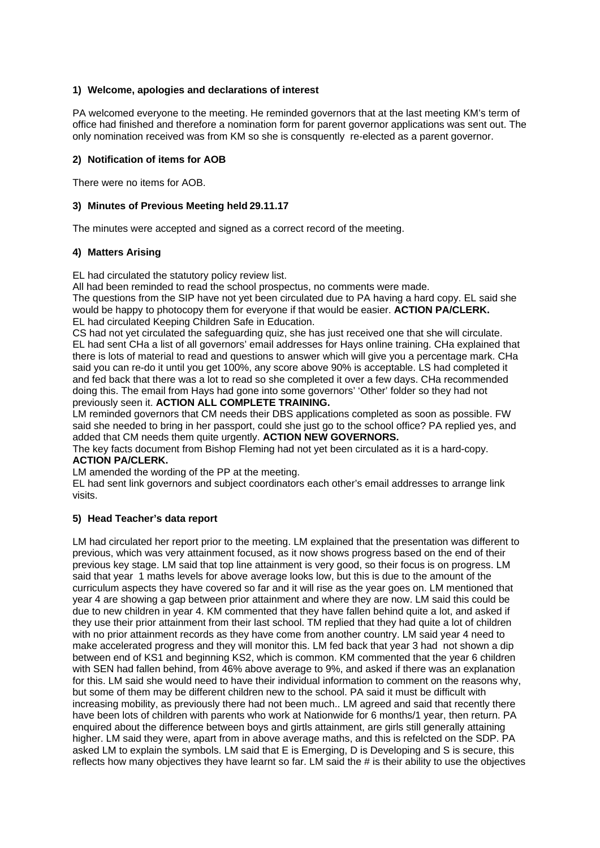### **1) Welcome, apologies and declarations of interest**

PA welcomed everyone to the meeting. He reminded governors that at the last meeting KM's term of office had finished and therefore a nomination form for parent governor applications was sent out. The only nomination received was from KM so she is consquently re-elected as a parent governor.

## **2) Notification of items for AOB**

There were no items for AOB.

### **3) Minutes of Previous Meeting held 29.11.17**

The minutes were accepted and signed as a correct record of the meeting.

## **4) Matters Arising**

EL had circulated the statutory policy review list.

All had been reminded to read the school prospectus, no comments were made. The questions from the SIP have not yet been circulated due to PA having a hard copy. EL said she would be happy to photocopy them for everyone if that would be easier. **ACTION PA/CLERK.**

EL had circulated Keeping Children Safe in Education.

CS had not yet circulated the safeguarding quiz, she has just received one that she will circulate. EL had sent CHa a list of all governors' email addresses for Hays online training. CHa explained that there is lots of material to read and questions to answer which will give you a percentage mark. CHa said you can re-do it until you get 100%, any score above 90% is acceptable. LS had completed it and fed back that there was a lot to read so she completed it over a few days. CHa recommended doing this. The email from Hays had gone into some governors' 'Other' folder so they had not previously seen it. **ACTION ALL COMPLETE TRAINING.**

LM reminded governors that CM needs their DBS applications completed as soon as possible. FW said she needed to bring in her passport, could she just go to the school office? PA replied yes, and added that CM needs them quite urgently. **ACTION NEW GOVERNORS.**

The key facts document from Bishop Fleming had not yet been circulated as it is a hard-copy. **ACTION PA/CLERK.** 

#### LM amended the wording of the PP at the meeting.

EL had sent link governors and subject coordinators each other's email addresses to arrange link visits.

#### **5) Head Teacher's data report**

LM had circulated her report prior to the meeting. LM explained that the presentation was different to previous, which was very attainment focused, as it now shows progress based on the end of their previous key stage. LM said that top line attainment is very good, so their focus is on progress. LM said that year 1 maths levels for above average looks low, but this is due to the amount of the curriculum aspects they have covered so far and it will rise as the year goes on. LM mentioned that year 4 are showing a gap between prior attainment and where they are now. LM said this could be due to new children in year 4. KM commented that they have fallen behind quite a lot, and asked if they use their prior attainment from their last school. TM replied that they had quite a lot of children with no prior attainment records as they have come from another country. LM said year 4 need to make accelerated progress and they will monitor this. LM fed back that year 3 had not shown a dip between end of KS1 and beginning KS2, which is common. KM commented that the year 6 children with SEN had fallen behind, from 46% above average to 9%, and asked if there was an explanation for this. LM said she would need to have their individual information to comment on the reasons why, but some of them may be different children new to the school. PA said it must be difficult with increasing mobility, as previously there had not been much.. LM agreed and said that recently there have been lots of children with parents who work at Nationwide for 6 months/1 year, then return. PA enquired about the difference between boys and girtls attainment, are girls still generally attaining higher. LM said they were, apart from in above average maths, and this is refelcted on the SDP. PA asked LM to explain the symbols. LM said that E is Emerging, D is Developing and S is secure, this reflects how many objectives they have learnt so far. LM said the # is their ability to use the objectives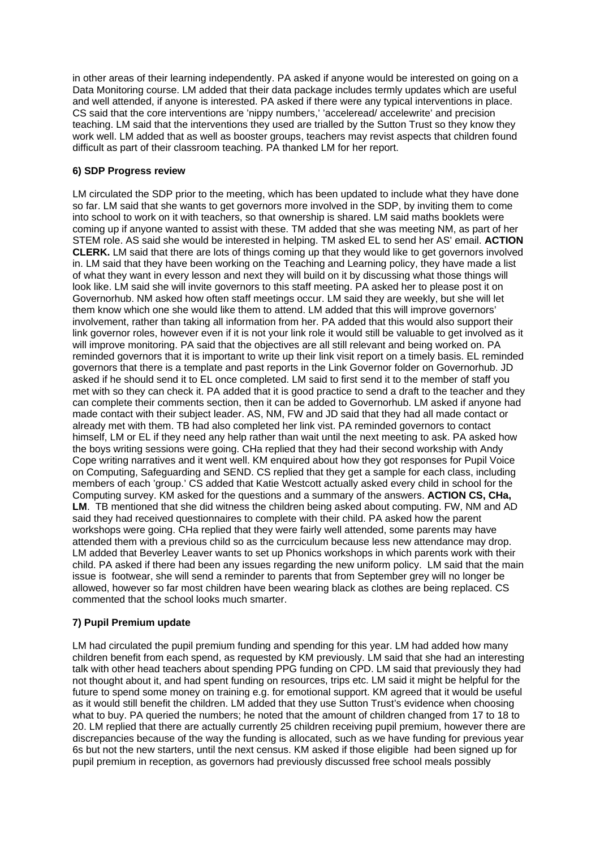in other areas of their learning independently. PA asked if anyone would be interested on going on a Data Monitoring course. LM added that their data package includes termly updates which are useful and well attended, if anyone is interested. PA asked if there were any typical interventions in place. CS said that the core interventions are 'nippy numbers,' 'acceleread/ accelewrite' and precision teaching. LM said that the interventions they used are trialled by the Sutton Trust so they know they work well. LM added that as well as booster groups, teachers may revist aspects that children found difficult as part of their classroom teaching. PA thanked LM for her report.

### **6) SDP Progress review**

LM circulated the SDP prior to the meeting, which has been updated to include what they have done so far. LM said that she wants to get governors more involved in the SDP, by inviting them to come into school to work on it with teachers, so that ownership is shared. LM said maths booklets were coming up if anyone wanted to assist with these. TM added that she was meeting NM, as part of her STEM role. AS said she would be interested in helping. TM asked EL to send her AS' email. **ACTION CLERK.** LM said that there are lots of things coming up that they would like to get governors involved in. LM said that they have been working on the Teaching and Learning policy, they have made a list of what they want in every lesson and next they will build on it by discussing what those things will look like. LM said she will invite governors to this staff meeting. PA asked her to please post it on Governorhub. NM asked how often staff meetings occur. LM said they are weekly, but she will let them know which one she would like them to attend. LM added that this will improve governors' involvement, rather than taking all information from her. PA added that this would also support their link governor roles, however even if it is not your link role it would still be valuable to get involved as it will improve monitoring. PA said that the objectives are all still relevant and being worked on. PA reminded governors that it is important to write up their link visit report on a timely basis. EL reminded governors that there is a template and past reports in the Link Governor folder on Governorhub. JD asked if he should send it to EL once completed. LM said to first send it to the member of staff you met with so they can check it. PA added that it is good practice to send a draft to the teacher and they can complete their comments section, then it can be added to Governorhub. LM asked if anyone had made contact with their subject leader. AS, NM, FW and JD said that they had all made contact or already met with them. TB had also completed her link vist. PA reminded governors to contact himself, LM or EL if they need any help rather than wait until the next meeting to ask. PA asked how the boys writing sessions were going. CHa replied that they had their second workship with Andy Cope writing narratives and it went well. KM enquired about how they got responses for Pupil Voice on Computing, Safeguarding and SEND. CS replied that they get a sample for each class, including members of each 'group.' CS added that Katie Westcott actually asked every child in school for the Computing survey. KM asked for the questions and a summary of the answers. **ACTION CS, CHa, LM**. TB mentioned that she did witness the children being asked about computing. FW, NM and AD said they had received questionnaires to complete with their child. PA asked how the parent workshops were going. CHa replied that they were fairly well attended, some parents may have attended them with a previous child so as the currciculum because less new attendance may drop. LM added that Beverley Leaver wants to set up Phonics workshops in which parents work with their child. PA asked if there had been any issues regarding the new uniform policy. LM said that the main issue is footwear, she will send a reminder to parents that from September grey will no longer be allowed, however so far most children have been wearing black as clothes are being replaced. CS commented that the school looks much smarter.

## **7) Pupil Premium update**

LM had circulated the pupil premium funding and spending for this year. LM had added how many children benefit from each spend, as requested by KM previously. LM said that she had an interesting talk with other head teachers about spending PPG funding on CPD. LM said that previously they had not thought about it, and had spent funding on resources, trips etc. LM said it might be helpful for the future to spend some money on training e.g. for emotional support. KM agreed that it would be useful as it would still benefit the children. LM added that they use Sutton Trust's evidence when choosing what to buy. PA queried the numbers; he noted that the amount of children changed from 17 to 18 to 20. LM replied that there are actually currently 25 children receiving pupil premium, however there are discrepancies because of the way the funding is allocated, such as we have funding for previous year 6s but not the new starters, until the next census. KM asked if those eligible had been signed up for pupil premium in reception, as governors had previously discussed free school meals possibly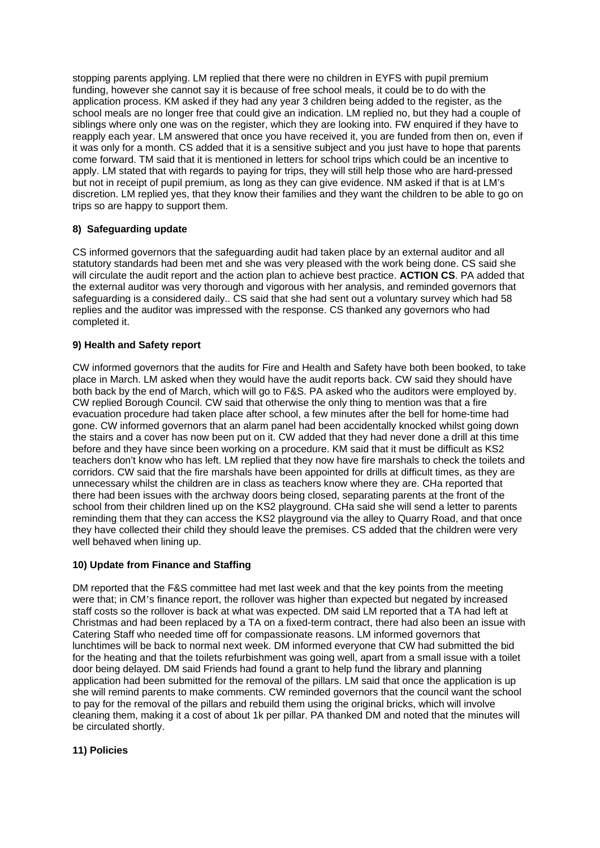stopping parents applying. LM replied that there were no children in EYFS with pupil premium funding, however she cannot say it is because of free school meals, it could be to do with the application process. KM asked if they had any year 3 children being added to the register, as the school meals are no longer free that could give an indication. LM replied no, but they had a couple of siblings where only one was on the register, which they are looking into. FW enquired if they have to reapply each year. LM answered that once you have received it, you are funded from then on, even if it was only for a month. CS added that it is a sensitive subject and you just have to hope that parents come forward. TM said that it is mentioned in letters for school trips which could be an incentive to apply. LM stated that with regards to paying for trips, they will still help those who are hard-pressed but not in receipt of pupil premium, as long as they can give evidence. NM asked if that is at LM's discretion. LM replied yes, that they know their families and they want the children to be able to go on trips so are happy to support them.

## **8) Safeguarding update**

CS informed governors that the safeguarding audit had taken place by an external auditor and all statutory standards had been met and she was very pleased with the work being done. CS said she will circulate the audit report and the action plan to achieve best practice. **ACTION CS**. PA added that the external auditor was very thorough and vigorous with her analysis, and reminded governors that safeguarding is a considered daily.. CS said that she had sent out a voluntary survey which had 58 replies and the auditor was impressed with the response. CS thanked any governors who had completed it.

## **9) Health and Safety report**

CW informed governors that the audits for Fire and Health and Safety have both been booked, to take place in March. LM asked when they would have the audit reports back. CW said they should have both back by the end of March, which will go to F&S. PA asked who the auditors were employed by. CW replied Borough Council. CW said that otherwise the only thing to mention was that a fire evacuation procedure had taken place after school, a few minutes after the bell for home-time had gone. CW informed governors that an alarm panel had been accidentally knocked whilst going down the stairs and a cover has now been put on it. CW added that they had never done a drill at this time before and they have since been working on a procedure. KM said that it must be difficult as KS2 teachers don't know who has left. LM replied that they now have fire marshals to check the toilets and corridors. CW said that the fire marshals have been appointed for drills at difficult times, as they are unnecessary whilst the children are in class as teachers know where they are. CHa reported that there had been issues with the archway doors being closed, separating parents at the front of the school from their children lined up on the KS2 playground. CHa said she will send a letter to parents reminding them that they can access the KS2 playground via the alley to Quarry Road, and that once they have collected their child they should leave the premises. CS added that the children were very well behaved when lining up.

#### **10) Update from Finance and Staffing**

DM reported that the F&S committee had met last week and that the key points from the meeting were that; in CM's finance report, the rollover was higher than expected but negated by increased staff costs so the rollover is back at what was expected. DM said LM reported that a TA had left at Christmas and had been replaced by a TA on a fixed-term contract, there had also been an issue with Catering Staff who needed time off for compassionate reasons. LM informed governors that lunchtimes will be back to normal next week. DM informed everyone that CW had submitted the bid for the heating and that the toilets refurbishment was going well, apart from a small issue with a toilet door being delayed. DM said Friends had found a grant to help fund the library and planning application had been submitted for the removal of the pillars. LM said that once the application is up she will remind parents to make comments. CW reminded governors that the council want the school to pay for the removal of the pillars and rebuild them using the original bricks, which will involve cleaning them, making it a cost of about 1k per pillar. PA thanked DM and noted that the minutes will be circulated shortly.

#### **11) Policies**